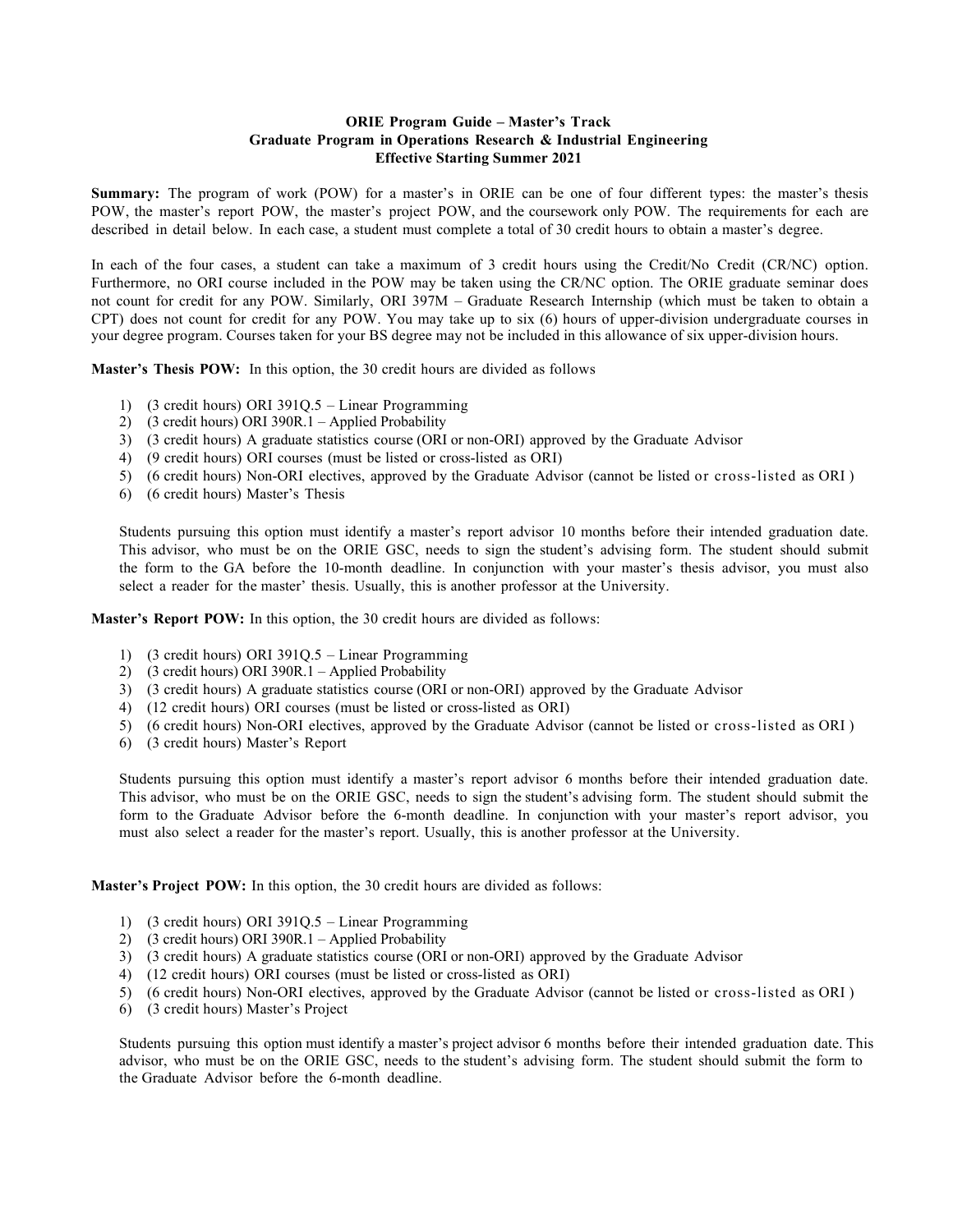## **ORIE Program Guide – Master's Track Graduate Program in Operations Research & Industrial Engineering Effective Starting Summer 2021**

**Summary:** The program of work (POW) for a master's in ORIE can be one of four different types: the master's thesis POW, the master's report POW, the master's project POW, and the coursework only POW. The requirements for each are described in detail below. In each case, a student must complete a total of 30 credit hours to obtain a master's degree.

In each of the four cases, a student can take a maximum of 3 credit hours using the Credit/No Credit (CR/NC) option. Furthermore, no ORI course included in the POW may be taken using the CR/NC option. The ORIE graduate seminar does not count for credit for any POW. Similarly, ORI 397M – Graduate Research Internship (which must be taken to obtain a CPT) does not count for credit for any POW. You may take up to six (6) hours of upper-division undergraduate courses in your degree program. Courses taken for your BS degree may not be included in this allowance of six upper-division hours.

**Master's Thesis POW:** In this option, the 30 credit hours are divided as follows

- 1) (3 credit hours) ORI 391Q.5 Linear Programming
- 2) (3 credit hours) ORI 390R.1 Applied Probability
- 3) (3 credit hours) A graduate statistics course (ORI or non-ORI) approved by the Graduate Advisor
- 4) (9 credit hours) ORI courses (must be listed or cross-listed as ORI)
- 5) (6 credit hours) Non-ORI electives, approved by the Graduate Advisor (cannot be listed or cross-listed as ORI )
- 6) (6 credit hours) Master's Thesis

Students pursuing this option must identify a master's report advisor 10 months before their intended graduation date. This advisor, who must be on the ORIE GSC, needs to sign the student's advising form. The student should submit the form to the GA before the 10-month deadline. In conjunction with your master's thesis advisor, you must also select a reader for the master' thesis. Usually, this is another professor at the University.

**Master's Report POW:** In this option, the 30 credit hours are divided as follows:

- 1) (3 credit hours) ORI 391Q.5 Linear Programming
- 2) (3 credit hours) ORI 390R.1 Applied Probability
- 3) (3 credit hours) A graduate statistics course (ORI or non-ORI) approved by the Graduate Advisor
- 4) (12 credit hours) ORI courses (must be listed or cross-listed as ORI)
- 5) (6 credit hours) Non-ORI electives, approved by the Graduate Advisor (cannot be listed or cross-listed as ORI )
- 6) (3 credit hours) Master's Report

Students pursuing this option must identify a master's report advisor 6 months before their intended graduation date. This advisor, who must be on the ORIE GSC, needs to sign the student's advising form. The student should submit the form to the Graduate Advisor before the 6-month deadline. In conjunction with your master's report advisor, you must also select a reader for the master's report. Usually, this is another professor at the University.

**Master's Project POW:** In this option, the 30 credit hours are divided as follows:

- 1) (3 credit hours) ORI 391Q.5 Linear Programming
- 2) (3 credit hours) ORI 390R.1 Applied Probability
- 3) (3 credit hours) A graduate statistics course (ORI or non-ORI) approved by the Graduate Advisor
- 4) (12 credit hours) ORI courses (must be listed or cross-listed as ORI)
- 5) (6 credit hours) Non-ORI electives, approved by the Graduate Advisor (cannot be listed or cross-listed as ORI )
- 6) (3 credit hours) Master's Project

Students pursuing this option must identify a master's project advisor 6 months before their intended graduation date. This advisor, who must be on the ORIE GSC, needs to the student's advising form. The student should submit the form to the Graduate Advisor before the 6-month deadline.